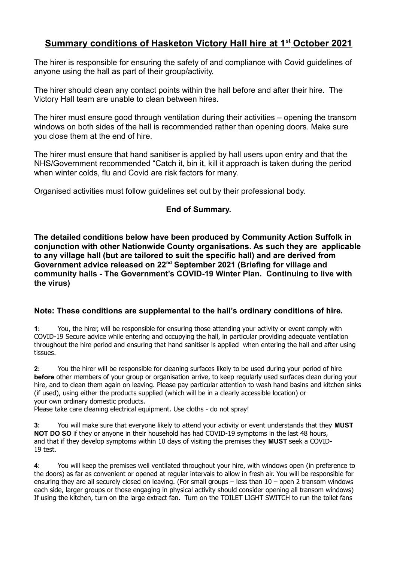## **Summary conditions of Hasketon Victory Hall hire at 1st October 2021**

The hirer is responsible for ensuring the safety of and compliance with Covid guidelines of anyone using the hall as part of their group/activity.

The hirer should clean any contact points within the hall before and after their hire. The Victory Hall team are unable to clean between hires.

The hirer must ensure good through ventilation during their activities – opening the transom windows on both sides of the hall is recommended rather than opening doors. Make sure you close them at the end of hire.

The hirer must ensure that hand sanitiser is applied by hall users upon entry and that the NHS/Government recommended "Catch it, bin it, kill it approach is taken during the period when winter colds, flu and Covid are risk factors for many.

Organised activities must follow guidelines set out by their professional body.

## **End of Summary.**

**The detailed conditions below have been produced by Community Action Suffolk in conjunction with other Nationwide County organisations. As such they are applicable to any village hall (but are tailored to suit the specific hall) and are derived from Government advice released on 22nd September 2021 (Briefing for village and community halls - The Government's COVID-19 Winter Plan. Continuing to live with the virus)**

## **Note: These conditions are supplemental to the hall's ordinary conditions of hire.**

**1:** You, the hirer, will be responsible for ensuring those attending your activity or event comply with COVID-19 Secure advice while entering and occupying the hall, in particular providing adequate ventilation throughout the hire period and ensuring that hand sanitiser is applied when entering the hall and after using tissues.

**2:** You the hirer will be responsible for cleaning surfaces likely to be used during your period of hire **before** other members of your group or organisation arrive, to keep regularly used surfaces clean during your hire, and to clean them again on leaving. Please pay particular attention to wash hand basins and kitchen sinks (if used), using either the products supplied (which will be in a clearly accessible location) or your own ordinary domestic products.

Please take care cleaning electrical equipment. Use cloths - do not spray!

**3:** You will make sure that everyone likely to attend your activity or event understands that they **MUST NOT DO SO** if they or anyone in their household has had COVID-19 symptoms in the last 48 hours, and that if they develop symptoms within 10 days of visiting the premises they **MUST** seek a COVID-19 test.

**4:** You will keep the premises well ventilated throughout your hire, with windows open (in preference to the doors) as far as convenient or opened at regular intervals to allow in fresh air. You will be responsible for ensuring they are all securely closed on leaving. (For small groups – less than 10 – open 2 transom windows each side, larger groups or those engaging in physical activity should consider opening all transom windows) If using the kitchen, turn on the large extract fan. Turn on the TOILET LIGHT SWITCH to run the toilet fans